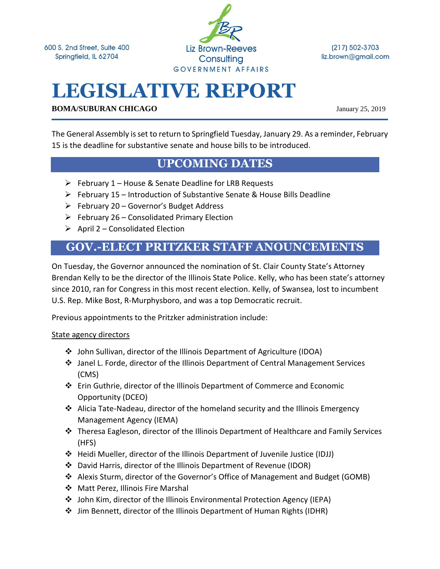600 S. 2nd Street, Suite 400 Springfield, IL 62704

**Liz Brown-Reeves** Consulting GOVERNMENT AFFAIRS

 $(217) 502 - 3703$ liz.brown@gmail.com

# **LEGISLATIVE REPORT**

**BOMA/SUBURAN CHICAGO** January 25, 2019

The General Assembly is set to return to Springfield Tuesday, January 29. As a reminder, February 15 is the deadline for substantive senate and house bills to be introduced.

#### **UPCOMING DATES**

- ➢ February 1 House & Senate Deadline for LRB Requests
- ➢ February 15 Introduction of Substantive Senate & House Bills Deadline
- ➢ February 20 Governor's Budget Address
- $\triangleright$  February 26 Consolidated Primary Election
- $\triangleright$  April 2 Consolidated Election

### **GOV.-ELECT PRITZKER STAFF ANOUNCEMENTS**

On Tuesday, the Governor announced the nomination of St. Clair County State's Attorney Brendan Kelly to be the director of the Illinois State Police. Kelly, who has been state's attorney since 2010, ran for Congress in this most recent election. Kelly, of Swansea, lost to incumbent U.S. Rep. Mike Bost, R-Murphysboro, and was a top Democratic recruit.

Previous appointments to the Pritzker administration include:

#### State agency directors

- ❖ John Sullivan, director of the Illinois Department of Agriculture (IDOA)
- ❖ Janel L. Forde, director of the Illinois Department of Central Management Services (CMS)
- ❖ Erin Guthrie, director of the Illinois Department of Commerce and Economic Opportunity (DCEO)
- ❖ Alicia Tate-Nadeau, director of the homeland security and the Illinois Emergency Management Agency (IEMA)
- ❖ Theresa Eagleson, director of the Illinois Department of Healthcare and Family Services (HFS)
- ❖ Heidi Mueller, director of the Illinois Department of Juvenile Justice (IDJJ)
- ❖ David Harris, director of the Illinois Department of Revenue (IDOR)
- ❖ Alexis Sturm, director of the Governor's Office of Management and Budget (GOMB)
- ❖ Matt Perez, Illinois Fire Marshal
- ❖ John Kim, director of the Illinois Environmental Protection Agency (IEPA)
- ❖ Jim Bennett, director of the Illinois Department of Human Rights (IDHR)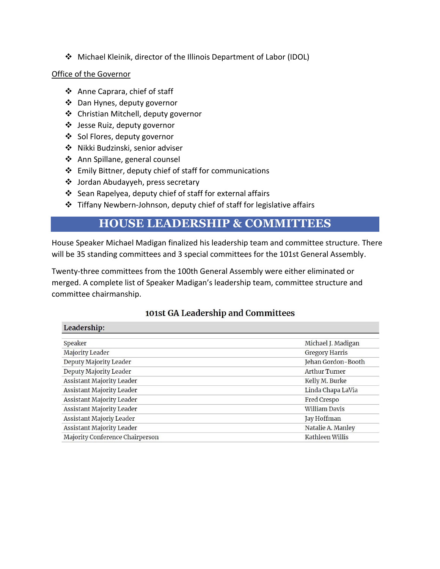❖ Michael Kleinik, director of the Illinois Department of Labor (IDOL)

#### Office of the Governor

- ❖ Anne Caprara, chief of staff
- ❖ Dan Hynes, deputy governor
- ❖ Christian Mitchell, deputy governor
- ❖ Jesse Ruiz, deputy governor
- ❖ Sol Flores, deputy governor
- ❖ Nikki Budzinski, senior adviser
- ❖ Ann Spillane, general counsel
- ❖ Emily Bittner, deputy chief of staff for communications
- ❖ Jordan Abudayyeh, press secretary
- ❖ Sean Rapelyea, deputy chief of staff for external affairs
- ❖ Tiffany Newbern-Johnson, deputy chief of staff for legislative affairs

#### **HOUSE LEADERSHIP & COMMITTEES**

House Speaker Michael Madigan finalized his leadership team and committee structure. There will be 35 standing committees and 3 special committees for the 101st General Assembly.

Twenty-three committees from the 100th General Assembly were either eliminated or merged. A complete list of Speaker Madigan's leadership team, committee structure and committee chairmanship.

| Leadership:                      |                       |
|----------------------------------|-----------------------|
|                                  |                       |
| Speaker                          | Michael J. Madigan    |
| Majority Leader                  | <b>Gregory Harris</b> |
| Deputy Majority Leader           | Jehan Gordon-Booth    |
| Deputy Majority Leader           | <b>Arthur Turner</b>  |
| <b>Assistant Majority Leader</b> | Kelly M. Burke        |
| <b>Assistant Majority Leader</b> | Linda Chapa LaVia     |
| <b>Assistant Majority Leader</b> | Fred Crespo           |
| Assistant Majority Leader        | <b>William Davis</b>  |
| Assistant Majoriy Leader         | Jay Hoffman           |
| Assistant Majority Leader        | Natalie A. Manley     |
| Majority Conference Chairperson  | Kathleen Willis       |

#### 101st GA Leadership and Committees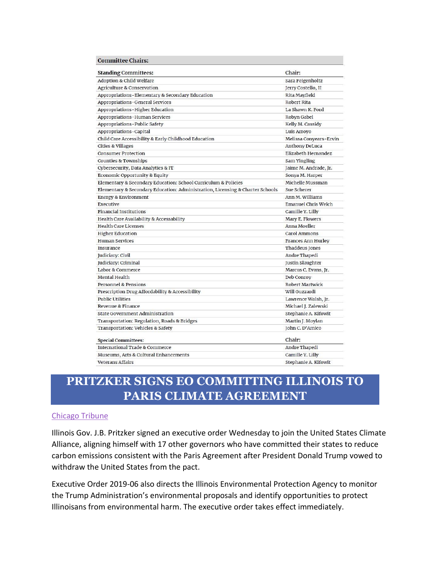| <b>Committee Chairs:</b> |  |  |  |  |
|--------------------------|--|--|--|--|
|--------------------------|--|--|--|--|

| <b>Standing Committees:</b>                                                   | Chair:                    |
|-------------------------------------------------------------------------------|---------------------------|
| Adoption & Child Welfare                                                      | Sara Feigenholtz          |
| Agriculture & Conservation                                                    | Jerry Costello, II        |
| Appropriations-Elementary & Secondary Education                               | Rita Mayfield             |
| Appropriations-General Services                                               | Robert Rita               |
| Appropriations-Higher Education                                               | La Shawn K. Ford          |
| Appropriations-Human Services                                                 | Robyn Gabel               |
| Appropriations-Public Safety                                                  | Kelly M. Cassidy          |
| Appropriations-Capital                                                        | Luis Arroyo               |
| Child Care Accessibility & Early Childhood Education                          | Melissa Conyears-Ervin    |
| <b>Cities &amp; Villages</b>                                                  | Anthony DeLuca            |
| <b>Consumer Protection</b>                                                    | Elizabeth Hernandez       |
| <b>Counties &amp; Townships</b>                                               | Sam Yingling              |
| Cybersecurity, Data Analytics & IT                                            | Jaime M. Andrade, Jr.     |
| Economic Opportunity & Equity                                                 | Sonya M. Harper           |
| Elementary & Secondary Education: School Curriculum & Policies                | Michelle Mussman          |
| Elementary & Secondary Education: Administration, Licensing & Charter Schools | Sue Scherer               |
| <b>Energy &amp; Environment</b>                                               | Ann M. Williams           |
| Executive                                                                     | Emanuel Chris Welch       |
| <b>Financial Institutions</b>                                                 | Camille Y. Lilly          |
| Health Care Availability & Accessability                                      | Mary E. Flowers           |
| <b>Health Care Licenses</b>                                                   | Anna Moeller              |
| <b>Higher Education</b>                                                       | Carol Ammons              |
| <b>Human Services</b>                                                         | <b>Frances Ann Hurley</b> |
| Insurance                                                                     | Thaddeus Jones            |
| Judiciary: Civil                                                              | Andre Thapedi             |
| Judiciary: Criminal                                                           | Justin Slaughter          |
| Labor & Commerce                                                              | Marcus C. Evans, Jr.      |
| Mental Health                                                                 | Deb Conroy                |
| Personnel & Pensions                                                          | <b>Robert Martwick</b>    |
| Prescription Drug Affordability & Accessibility                               | Will Guzzardi             |
| <b>Public Utilities</b>                                                       | Lawrence Walsh, Jr.       |
| Revenue & Finance                                                             | Michael J. Zalewski       |
| <b>State Government Administration</b>                                        | Stephanie A. Kifowit      |
| Transportation: Regulation, Roads & Bridges                                   | Martin J. Moylan          |
| Transportation: Vehicles & Safety                                             | John C. D'Amico           |
| <b>Special Committees:</b>                                                    | Chair:                    |
| International Trade & Commerce                                                | Andre Thapedi             |
| Museums, Arts & Cultural Enhancements                                         | Camille Y. Lilly          |
| <b>Veterans Affairs</b>                                                       | Stephanie A. Kifowit      |

# **PRITZKER SIGNS EO COMMITTING ILLINOIS TO PARIS CLIMATE AGREEMENT**

#### [Chicago Tribune](https://www.chicagotribune.com/news/ct-met-jb-pritzker-illinois-climate-change-20190123-story.html)

Illinois Gov. J.B. Pritzker signed an executive order Wednesday to join the United States Climate Alliance, aligning himself with 17 other governors who have committed their states to reduce carbon emissions consistent with the Paris Agreement after President Donald Trump vowed to withdraw the United States from the pact.

Executive Order 2019-06 also directs the Illinois Environmental Protection Agency to monitor the Trump Administration's environmental proposals and identify opportunities to protect Illinoisans from environmental harm. The executive order takes effect immediately.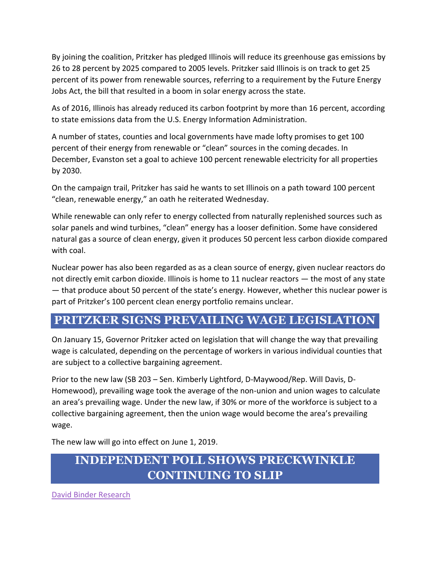By joining the coalition, Pritzker has pledged Illinois will reduce its greenhouse gas emissions by 26 to 28 percent by 2025 compared to 2005 levels. Pritzker said Illinois is on track to get 25 percent of its power from renewable sources, referring to a requirement by the Future Energy Jobs Act, the bill that resulted in a boom in solar energy across the state.

As of 2016, Illinois has already reduced its carbon footprint by more than 16 percent, according to state emissions data from the U.S. Energy Information Administration.

A number of states, counties and local governments have made lofty promises to get 100 percent of their energy from renewable or "clean" sources in the coming decades. In December, Evanston set a goal to achieve 100 percent renewable electricity for all properties by 2030.

On the campaign trail, Pritzker has said he wants to set Illinois on a path toward 100 percent "clean, renewable energy," an oath he reiterated Wednesday.

While renewable can only refer to energy collected from naturally replenished sources such as solar panels and wind turbines, "clean" energy has a looser definition. Some have considered natural gas a source of clean energy, given it produces 50 percent less carbon dioxide compared with coal.

Nuclear power has also been regarded as as a clean source of energy, given nuclear reactors do not directly emit carbon dioxide. Illinois is home to 11 nuclear reactors — the most of any state — that produce about 50 percent of the state's energy. However, whether this nuclear power is part of Pritzker's 100 percent clean energy portfolio remains unclear.

# **PRITZKER SIGNS PREVAILING WAGE LEGISLATION**

On January 15, Governor Pritzker acted on legislation that will change the way that prevailing wage is calculated, depending on the percentage of workers in various individual counties that are subject to a collective bargaining agreement.

Prior to the new law (SB 203 – Sen. Kimberly Lightford, D-Maywood/Rep. Will Davis, D-Homewood), prevailing wage took the average of the non-union and union wages to calculate an area's prevailing wage. Under the new law, if 30% or more of the workforce is subject to a collective bargaining agreement, then the union wage would become the area's prevailing wage.

The new law will go into effect on June 1, 2019.

# **INDEPENDENT POLL SHOWS PRECKWINKLE CONTINUING TO SLIP**

[David Binder Research](https://www.politico.com/f/?id=00000168-7ed8-da33-a37f-7efd31430001)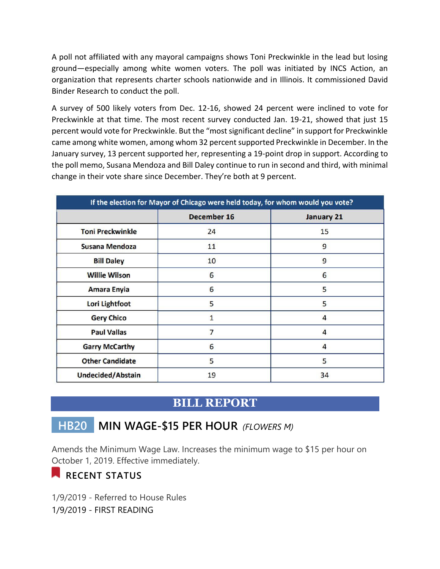A poll not affiliated with any mayoral campaigns shows Toni Preckwinkle in the lead but losing ground—especially among white women voters. The poll was initiated by INCS Action, an organization that represents charter schools nationwide and in Illinois. It commissioned David Binder Research to conduct the poll.

A survey of 500 likely voters from Dec. 12-16, showed 24 percent were inclined to vote for Preckwinkle at that time. The most recent survey conducted Jan. 19-21, showed that just 15 percent would vote for Preckwinkle. But the "most significant decline" in support for Preckwinkle came among white women, among whom 32 percent supported Preckwinkle in December. In the January survey, 13 percent supported her, representing a 19-point drop in support. According to the poll memo, Susana Mendoza and Bill Daley continue to run in second and third, with minimal change in their vote share since December. They're both at 9 percent.

| If the election for Mayor of Chicago were held today, for whom would you vote? |                    |                   |  |  |
|--------------------------------------------------------------------------------|--------------------|-------------------|--|--|
|                                                                                | <b>December 16</b> | <b>January 21</b> |  |  |
| <b>Toni Preckwinkle</b>                                                        | 24                 | 15                |  |  |
| <b>Susana Mendoza</b>                                                          | 11                 | 9                 |  |  |
| <b>Bill Daley</b>                                                              | 10                 | 9                 |  |  |
| <b>Willie Wilson</b>                                                           | 6                  | 6                 |  |  |
| <b>Amara Enyia</b>                                                             | 6                  | 5                 |  |  |
| <b>Lori Lightfoot</b>                                                          | 5                  | 5                 |  |  |
| <b>Gery Chico</b>                                                              |                    | 4                 |  |  |
| <b>Paul Vallas</b>                                                             |                    | 4                 |  |  |
| <b>Garry McCarthy</b>                                                          | 6                  | 4                 |  |  |
| <b>Other Candidate</b>                                                         | 5                  | 5                 |  |  |
| <b>Undecided/Abstain</b>                                                       | 19                 | 34                |  |  |

#### **BILL REPORT**

# **HB20 MIN WAGE-\$15 PER HOUR** *(FLOWERS M)*

Amends the Minimum Wage Law. Increases the minimum wage to \$15 per hour on October 1, 2019. Effective immediately.

# **RECENT STATUS**

1/9/2019 - Referred to House Rules 1/9/2019 - FIRST READING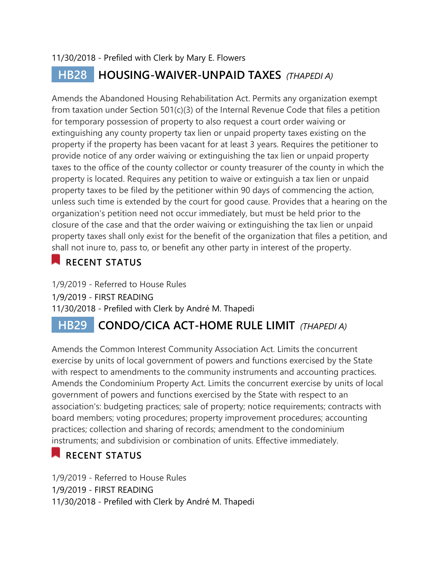#### 11/30/2018 - Prefiled with Clerk by Mary E. Flowers

# **HB28 HOUSING-WAIVER-UNPAID TAXES** *(THAPEDI A)*

Amends the Abandoned Housing Rehabilitation Act. Permits any organization exempt from taxation under Section 501(c)(3) of the Internal Revenue Code that files a petition for temporary possession of property to also request a court order waiving or extinguishing any county property tax lien or unpaid property taxes existing on the property if the property has been vacant for at least 3 years. Requires the petitioner to provide notice of any order waiving or extinguishing the tax lien or unpaid property taxes to the office of the county collector or county treasurer of the county in which the property is located. Requires any petition to waive or extinguish a tax lien or unpaid property taxes to be filed by the petitioner within 90 days of commencing the action, unless such time is extended by the court for good cause. Provides that a hearing on the organization's petition need not occur immediately, but must be held prior to the closure of the case and that the order waiving or extinguishing the tax lien or unpaid property taxes shall only exist for the benefit of the organization that files a petition, and shall not inure to, pass to, or benefit any other party in interest of the property.

# **RECENT STATUS**

1/9/2019 - Referred to House Rules 1/9/2019 - FIRST READING 11/30/2018 - Prefiled with Clerk by André M. Thapedi

# **HB29 CONDO/CICA ACT-HOME RULE LIMIT** *(THAPEDI A)*

Amends the Common Interest Community Association Act. Limits the concurrent exercise by units of local government of powers and functions exercised by the State with respect to amendments to the community instruments and accounting practices. Amends the Condominium Property Act. Limits the concurrent exercise by units of local government of powers and functions exercised by the State with respect to an association's: budgeting practices; sale of property; notice requirements; contracts with board members; voting procedures; property improvement procedures; accounting practices; collection and sharing of records; amendment to the condominium instruments; and subdivision or combination of units. Effective immediately.

# **RECENT STATUS**

1/9/2019 - Referred to House Rules 1/9/2019 - FIRST READING 11/30/2018 - Prefiled with Clerk by André M. Thapedi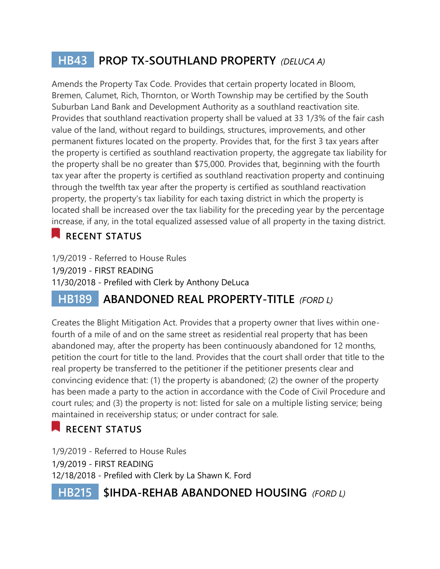# **HB43 PROP TX-SOUTHLAND PROPERTY** *(DELUCA A)*

Amends the Property Tax Code. Provides that certain property located in Bloom, Bremen, Calumet, Rich, Thornton, or Worth Township may be certified by the South Suburban Land Bank and Development Authority as a southland reactivation site. Provides that southland reactivation property shall be valued at 33 1/3% of the fair cash value of the land, without regard to buildings, structures, improvements, and other permanent fixtures located on the property. Provides that, for the first 3 tax years after the property is certified as southland reactivation property, the aggregate tax liability for the property shall be no greater than \$75,000. Provides that, beginning with the fourth tax year after the property is certified as southland reactivation property and continuing through the twelfth tax year after the property is certified as southland reactivation property, the property's tax liability for each taxing district in which the property is located shall be increased over the tax liability for the preceding year by the percentage increase, if any, in the total equalized assessed value of all property in the taxing district.

# **RECENT STATUS**

1/9/2019 - Referred to House Rules 1/9/2019 - FIRST READING 11/30/2018 - Prefiled with Clerk by Anthony DeLuca

# **HB189 ABANDONED REAL PROPERTY-TITLE** *(FORD L)*

Creates the Blight Mitigation Act. Provides that a property owner that lives within onefourth of a mile of and on the same street as residential real property that has been abandoned may, after the property has been continuously abandoned for 12 months, petition the court for title to the land. Provides that the court shall order that title to the real property be transferred to the petitioner if the petitioner presents clear and convincing evidence that: (1) the property is abandoned; (2) the owner of the property has been made a party to the action in accordance with the Code of Civil Procedure and court rules; and (3) the property is not: listed for sale on a multiple listing service; being maintained in receivership status; or under contract for sale.

# **RECENT STATUS**

1/9/2019 - Referred to House Rules 1/9/2019 - FIRST READING 12/18/2018 - Prefiled with Clerk by La Shawn K. Ford

 **HB215 \$IHDA-REHAB ABANDONED HOUSING** *(FORD L)*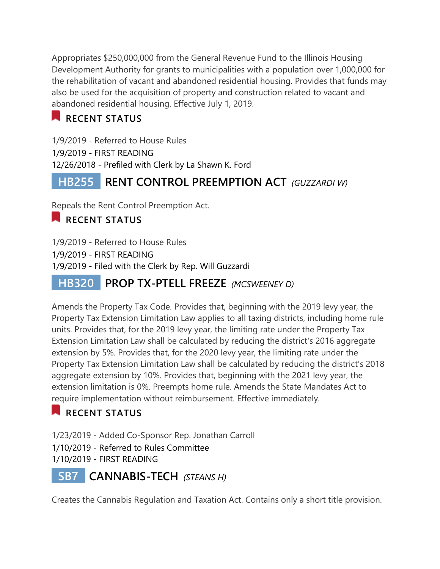Appropriates \$250,000,000 from the General Revenue Fund to the Illinois Housing Development Authority for grants to municipalities with a population over 1,000,000 for the rehabilitation of vacant and abandoned residential housing. Provides that funds may also be used for the acquisition of property and construction related to vacant and abandoned residential housing. Effective July 1, 2019.

# **RECENT STATUS**

1/9/2019 - Referred to House Rules 1/9/2019 - FIRST READING 12/26/2018 - Prefiled with Clerk by La Shawn K. Ford

# **HB255 RENT CONTROL PREEMPTION ACT** *(GUZZARDI W)*

Repeals the Rent Control Preemption Act.

### **RECENT STATUS**

1/9/2019 - Referred to House Rules 1/9/2019 - FIRST READING 1/9/2019 - Filed with the Clerk by Rep. Will Guzzardi

# **HB320 PROP TX-PTELL FREEZE** *(MCSWEENEY D)*

Amends the Property Tax Code. Provides that, beginning with the 2019 levy year, the Property Tax Extension Limitation Law applies to all taxing districts, including home rule units. Provides that, for the 2019 levy year, the limiting rate under the Property Tax Extension Limitation Law shall be calculated by reducing the district's 2016 aggregate extension by 5%. Provides that, for the 2020 levy year, the limiting rate under the Property Tax Extension Limitation Law shall be calculated by reducing the district's 2018 aggregate extension by 10%. Provides that, beginning with the 2021 levy year, the extension limitation is 0%. Preempts home rule. Amends the State Mandates Act to require implementation without reimbursement. Effective immediately.

# **RECENT STATUS**

1/23/2019 - Added Co-Sponsor Rep. Jonathan Carroll

1/10/2019 - Referred to Rules Committee

1/10/2019 - FIRST READING

# **SB7 CANNABIS-TECH** *(STEANS H)*

Creates the Cannabis Regulation and Taxation Act. Contains only a short title provision.